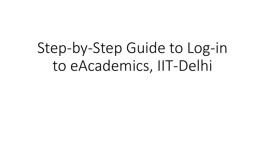Step-by-Step Guide to Log-in to eAcademics, IIT-Delhi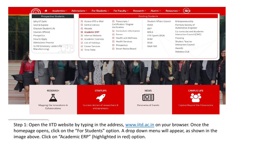

Step 1: Open the IITD website by typing in the address, [www.iitd.ac.in](http://www.iitd.ac.in/) on your browser. Once the homepage opens, click on the "For Students" option. A drop down menu will appear, as shown in the image above. Click on "Academic ERP" (highlighted in red) option.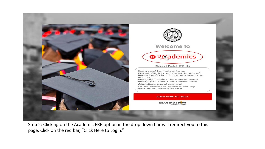

Step 2: Clicking on the Academic ERP option in the drop down bar will redirect you to this page. Click on the red bar, "Click Here to Login."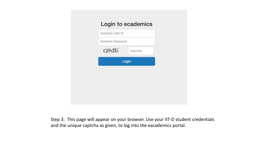Step 3: This page will appear on your browser. Use your IIT-D student credentials and the unique captcha as given, to log into the eacademics portal.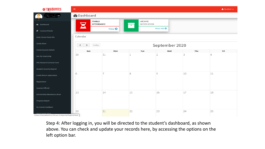

Step 4: After logging in, you will be directed to the student's dashboard, as shown above. You can check and update your records here, by accessing the options on the left option bar.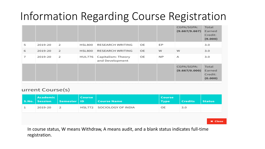## Information Regarding Course Registration

|   |         |   |               |                                       |    |     | CGPA/SGPA:<br>(9.667/9.667) | Total<br>Earned<br>Credit:<br>(9.000) |
|---|---------|---|---------------|---------------------------------------|----|-----|-----------------------------|---------------------------------------|
| 5 | 2019-20 | 2 | <b>HSL800</b> | RESEARCH WRITING                      | OE | EP  |                             | 3.0                                   |
| 6 | 2019-20 | 2 | <b>HSL800</b> | RESEARCH WRITING                      | OE | w   | w                           | 3.0                                   |
| 7 | 2019-20 | 2 | HUL776        | Capitalism: Theory<br>and Development | OE | NP. | Α                           | 3.0                                   |
|   |         |   |               |                                       |    |     | CGPA/SGPA:<br>(9.667/0.000) | Total<br>Earned<br>Credit:<br>(0.000) |

## urrent Course(s)

| Academic<br>S.No.   Session | Semester   ID | Course | <b>Course Name</b> | <b>Course</b><br><b>Type</b> | <b>Credits</b> | <b>Status</b>  |
|-----------------------------|---------------|--------|--------------------|------------------------------|----------------|----------------|
| 2019-20                     | 2             | HSL772 | SOCIOLOGY OF INDIA | OE                           | 3.0            |                |
|                             |               |        |                    |                              |                |                |
|                             |               |        |                    |                              |                | <b>x</b> Close |

In course status, W means Withdraw, A means audit, and a blank status indicates full-time registration.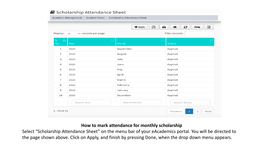|                          | Academic Management > Student Portal > Scholarship Attendance Sheet |                |                                             |  |  |
|--------------------------|---------------------------------------------------------------------|----------------|---------------------------------------------|--|--|
| Display                  | $\vee$ records per page<br>10                                       | ☝<br>$+$ Apply | ⊠<br>₿<br>c<br>◉<br>Help<br>Filter records: |  |  |
| $S_{+}$<br>$1\pm$<br>No. | Ш<br>Year                                                           | Month          | ЧŤ<br><b>Status</b>                         |  |  |
| $\mathbf{1}$             | 2020                                                                | September      | Applied                                     |  |  |
| $\overline{2}$           | 2020                                                                | August         | Applied                                     |  |  |
| 3                        | 2020                                                                | July           | Applied                                     |  |  |
| 4                        | 2020                                                                | June           | Applied                                     |  |  |
| 5                        | 2020                                                                | May            | Applied                                     |  |  |
| 6                        | 2020                                                                | April          | Applied                                     |  |  |
| $\overline{t}$           | 2020                                                                | March          | Applied                                     |  |  |
| 8                        | 2020                                                                | February       | Applied                                     |  |  |
| 9                        | 2020                                                                | January        | Applied                                     |  |  |
| 10                       | 2019                                                                | December       | Applied                                     |  |  |
|                          | Search Year                                                         | Search Month   | Search Status                               |  |  |
| $1 - 10$ of $14$         |                                                                     |                | $\overline{2}$<br>Previous<br>-1<br>Next    |  |  |

## **How to mark attendance for monthly scholarship**

Select "Scholarship Attendance Sheet" on the menu bar of your eAcademics portal. You will be directed to the page shown above. Click on Apply, and finish by pressing Done, when the drop down menu appears.